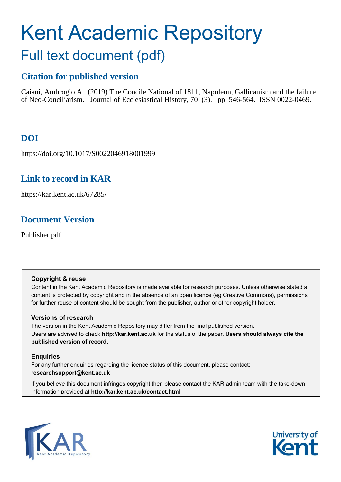# Kent Academic Repository Full text document (pdf)

## **Citation for published version**

Caiani, Ambrogio A. (2019) The Concile National of 1811, Napoleon, Gallicanism and the failure of Neo-Conciliarism. Journal of Ecclesiastical History, 70 (3). pp. 546-564. ISSN 0022-0469.

## **DOI**

https://doi.org/10.1017/S0022046918001999

### **Link to record in KAR**

https://kar.kent.ac.uk/67285/

## **Document Version**

Publisher pdf

#### **Copyright & reuse**

Content in the Kent Academic Repository is made available for research purposes. Unless otherwise stated all content is protected by copyright and in the absence of an open licence (eg Creative Commons), permissions for further reuse of content should be sought from the publisher, author or other copyright holder.

#### **Versions of research**

The version in the Kent Academic Repository may differ from the final published version. Users are advised to check **http://kar.kent.ac.uk** for the status of the paper. **Users should always cite the published version of record.**

#### **Enquiries**

For any further enquiries regarding the licence status of this document, please contact: **researchsupport@kent.ac.uk**

If you believe this document infringes copyright then please contact the KAR admin team with the take-down information provided at **http://kar.kent.ac.uk/contact.html**



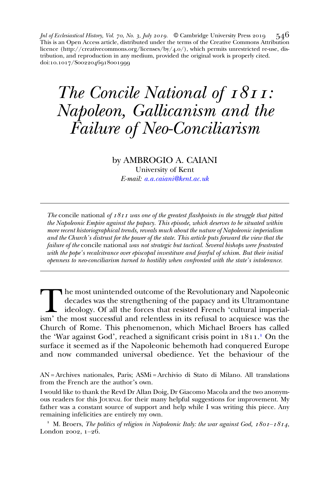*Jnl of Ecclesiastical History, Vol. 70, No. 3, July 2019.* © Cambridge University Press 2019 546 This is an Open Access article, distributed under the terms of the Creative Commons Attribution licence (http://creativecommons.org/licenses/by/4.o/), which permits unrestricted re-use, distribution, and reproduction in any medium, provided the original work is properly cited. doi:10.1017/Soo22046918oo1999

## The Concile National of  $1811$ : Napoleon, Gallicanism and the Failure of Neo-Conciliarism

#### by AMBROGIO A. CAIANI

University of Kent E-mail: [a.a.caiani@kent.ac.uk](mailto:a.a.caiani@kent.ac.uk)

The concile national of  $\frac{1}{8}I$  was one of the greatest flashpoints in the struggle that pitted the Napoleonic Empire against the papacy. This episode, which deserves to be situated within more recent historiographical trends, reveals much about the nature of Napoleonic imperialism and the Church's distrust for the power of the state. This article puts forward the view that the failure of the concile national was not strategic but tactical. Several bishops were frustrated with the pope's recalcitrance over episcopal investiture and fearful of schism. But their initial openness to neo-conciliarism turned to hostility when confronted with the state's intolerance.

The most unintended outcome of the Revolutionary and Napoleonic<br>decades was the strengthening of the papacy and its Ultramontane<br>ideology. Of all the forces that resisted French 'cultural imperial-<br>ism' the most successful decades was the strengthening of the papacy and its Ultramontane ideology. Of all the forces that resisted French 'cultural imperial-Church of Rome. This phenomenon, which Michael Broers has called the 'War against God', reached a significant crisis point in 1811.<sup>1</sup> On the surface it seemed as if the Napoleonic behemoth had conquered Europe and now commanded universal obedience. Yet the behaviour of the

AN = Archives nationales, Paris; ASMi = Archivio di Stato di Milano. All translations from the French are the author's own.

I would like to thank the Revd Dr Allan Doig, Dr Giacomo Macola and the two anonymous readers for this JOURNAL for their many helpful suggestions for improvement. My father was a constant source of support and help while I was writing this piece. Any remaining infelicities are entirely my own.

<sup>1</sup> M. Broers, The politics of religion in Napoleonic Italy: the war against God,  $180I - 1814$ , London  $2002$ ,  $1-26$ .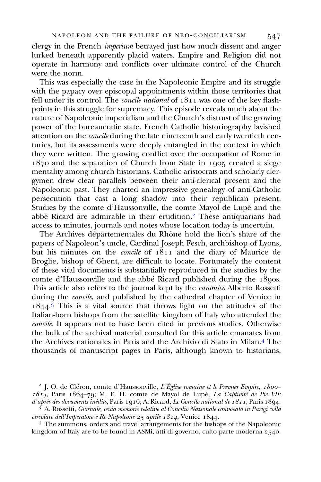clergy in the French imperium betrayed just how much dissent and anger lurked beneath apparently placid waters. Empire and Religion did not operate in harmony and conflicts over ultimate control of the Church were the norm.

This was especially the case in the Napoleonic Empire and its struggle with the papacy over episcopal appointments within those territories that fell under its control. The *concile national* of  $1811$  was one of the key flashpoints in this struggle for supremacy. This episode reveals much about the nature of Napoleonic imperialism and the Church's distrust of the growing power of the bureaucratic state. French Catholic historiography lavished attention on the concile during the late nineteenth and early twentieth centuries, but its assessments were deeply entangled in the context in which they were written. The growing conflict over the occupation of Rome in  $1870$  and the separation of Church from State in  $1905$  created a siege mentality among church historians. Catholic aristocrats and scholarly clergymen drew clear parallels between their anti-clerical present and the Napoleonic past. They charted an impressive genealogy of anti-Catholic persecution that cast a long shadow into their republican present. Studies by the comte d'Haussonville, the comte Mayol de Lupé and the abbé Ricard are admirable in their erudition.<sup>2</sup> These antiquarians had access to minutes, journals and notes whose location today is uncertain.

The Archives départementales du Rhône hold the lion's share of the papers of Napoleon's uncle, Cardinal Joseph Fesch, archbishop of Lyons, but his minutes on the *concile* of  $1811$  and the diary of Maurice de Broglie, bishop of Ghent, are difficult to locate. Fortunately the content of these vital documents is substantially reproduced in the studies by the comte d'Haussonville and the abbé Ricard published during the  $18q$ os. This article also refers to the journal kept by the canonico Alberto Rossetti during the concile, and published by the cathedral chapter of Venice in 1844.<sup>3</sup> This is a vital source that throws light on the attitudes of the Italian-born bishops from the satellite kingdom of Italy who attended the concile. It appears not to have been cited in previous studies. Otherwise the bulk of the archival material consulted for this article emanates from the Archives nationales in Paris and the Archivio di Stato in Milan. The thousands of manuscript pages in Paris, although known to historians,

 $4$  The summons, orders and travel arrangements for the bishops of the Napoleonic kingdom of Italy are to be found in ASMi, atti di governo, culto parte moderna 2540.

<sup>&</sup>lt;sup>2</sup> J. O. de Cléron, comte d'Haussonville, L'Église romaine et le Premier Empire,  $1800 1814$ , Paris  $1864-79$ ; M. E. H. comte de Mayol de Lupé, *La Captivité de Pie VII: d'après des documents inédits*, Paris 1916; A. Ricard, *Le Concile national de 1811*, Paris 1894.

<sup>&</sup>lt;sup>3</sup> A. Rossetti, *Giornale, ossia memorie relative al Concilio Nazionale convocato in Parigi colla circolare dell'Imperatore e Re Napoleone 25 aprile 1814, Venice 1844.*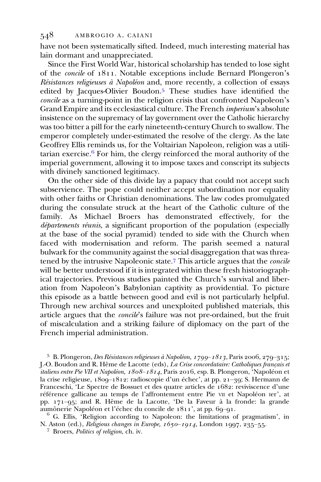have not been systematically sifted. Indeed, much interesting material has lain dormant and unappreciated.

Since the First World War, historical scholarship has tended to lose sight of the concile of . Notable exceptions include Bernard Plongeron's Résistances religieuses à Napoléon and, more recently, a collection of essays edited by Jacques-Olivier Boudon.<sup>5</sup> These studies have identified the concile as a turning-point in the religion crisis that confronted Napoleon's Grand Empire and its ecclesiastical culture. The French imperium's absolute insistence on the supremacy of lay government over the Catholic hierarchy was too bitter a pill for the early nineteenth-century Church to swallow. The emperor completely under-estimated the resolve of the clergy. As the late Geoffrey Ellis reminds us, for the Voltairian Napoleon, religion was a utilitarian exercise. $6$  For him, the clergy reinforced the moral authority of the imperial government, allowing it to impose taxes and conscript its subjects with divinely sanctioned legitimacy.

On the other side of this divide lay a papacy that could not accept such subservience. The pope could neither accept subordination nor equality with other faiths or Christian denominations. The law codes promulgated during the consulate struck at the heart of the Catholic culture of the family. As Michael Broers has demonstrated effectively, for the départements réunis, a significant proportion of the population (especially at the base of the social pyramid) tended to side with the Church when faced with modernisation and reform. The parish seemed a natural bulwark for the community against the social disaggregation that was threatened by the intrusive Napoleonic state.<sup>7</sup> This article argues that the *concile* will be better understood if it is integrated within these fresh historiographical trajectories. Previous studies painted the Church's survival and liberation from Napoleon's Babylonian captivity as providential. To picture this episode as a battle between good and evil is not particularly helpful. Through new archival sources and unexploited published materials, this article argues that the concile's failure was not pre-ordained, but the fruit of miscalculation and a striking failure of diplomacy on the part of the French imperial administration.

<sup>5</sup> B. Plongeron, *Des Résistances religieuses à Napoléon*,  $1799 - 1813$ , Paris 2006, 279-315; J.-O. Boudon and R. Hême de Lacotte (eds), La Crise concordataire: Catholiques français et *italiens entre Pie VII et Napoléon,*  $1808 - 1814$ , Paris 2016, esp. B. Plongeron, 'Napoléon et la crise religieuse, 1809-1812: radioscopie d'un échec', at pp. 21-39; S. Hermann de Franceschi, 'Le Spectre de Bossuet et des quatre articles de 1682: reviviscence d'une référence gallicane au temps de l'affrontement entre Pie VII et Napoléon Ier', at pp. 171–95; and R. Hême de la Lacotte, 'De la Faveur à la fronde: la grande aumônerie Napoléon et l'échec du concile de 1811', at pp. 69–91.

 $6$  G. Ellis, 'Religion according to Napoleon: the limitations of pragmatism', in N. Aston (ed.), *Religious changes in Europe*,  $1650 - 1914$ , London 1997, 235–55.<br><sup>7</sup> Broers, *Politics of religion*, ch. iv.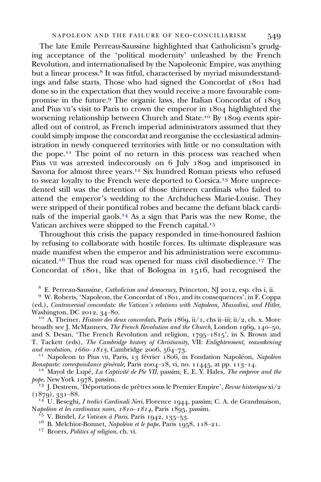The late Emile Perreau-Saussine highlighted that Catholicism's grudging acceptance of the 'political modernity' unleashed by the French Revolution, and internationalised by the Napoleonic Empire, was anything but a linear process.<sup>8</sup> It was fitful, characterised by myriad misunderstandings and false starts. Those who had signed the Concordat of 1801 had done so in the expectation that they would receive a more favourable compromise in the future.<sup>9</sup> The organic laws, the Italian Concordat of  $1803$ and Pius  $VII$ 's visit to Paris to crown the emperor in  $1804$  highlighted the worsening relationship between Church and State.<sup>10</sup> By  $1809$  events spiralled out of control, as French imperial administrators assumed that they could simply impose the concordat and reorganise the ecclesiastical administration in newly conquered territories with little or no consultation with the pope.<sup> $11$ </sup> The point of no return in this process was reached when Pius VII was arrested indecorously on  $6$  July  $18$ oq and imprisoned in Savona for almost three years.<sup>12</sup> Six hundred Roman priests who refused to swear loyalty to the French were deported to Corsica.<sup>13</sup> More unprecedented still was the detention of those thirteen cardinals who failed to attend the emperor's wedding to the Archduchess Marie-Louise. They were stripped of their pontifical robes and became the defiant black cardinals of the imperial gaols.<sup>14</sup> As a sign that Paris was the new Rome, the Vatican archives were shipped to the French capital.<sup>15</sup>

Throughout this crisis the papacy responded in time-honoured fashion by refusing to collaborate with hostile forces. Its ultimate displeasure was made manifest when the emperor and his administration were excommunicated.<sup>16</sup> Thus the road was opened for mass civil disobedience.<sup>17</sup> The Concordat of  $1801$ , like that of Bologna in  $1516$ , had recognised the

<sup>8</sup> E. Perreau-Saussine, *Catholicism and democracy*, Princeton, NJ 2012, esp. chs i, ii.  $9$  W. Roberts, 'Napoleon, the Concordat of 1801, and its consequences', in F. Coppa

(ed.), Controversial concordats: the Vatican's relations with Napoleon, Mussolini, and Hitler, Washington, DC 2012,  $34$ –80.

<sup>10</sup> A. Theiner, *Histoire des deux concordats*, Paris 1869, ii/1, chs ii–iii; ii/2, ch. x. More broadly see J. McManners, *The French Revolution and the Church*, London  $1q6q$ ,  $140–50$ , and S. Desan, 'The French Revolution and religion,  $1795-1815$ ', in S. Brown and T. Tackett (eds), The Cambridge history of Christianity, VII: Enlightenment, reawakening and revolution, 1660–1815, Cambridge 2006, 564–73.

<sup>11</sup> Napoleon to Pius vII, Paris, 13 février 1806, in Fondation Napoléon, *Napoléon* Bonaparte: correspondance générale, Paris 2004–18, vi, no. 11445, at pp. 113–14.

<sup>12</sup> Mayol de Lupé, *La Captivité de Pie VII*, passim; E. E. Y. Hales, *The emperor and the pope*, New York 1978, passim.

<sup>13</sup> J. Destrem, 'Déportations de prêtres sous le Premier Empire', Revue historique xi/2

(1879), 331–88.<br><sup>14</sup> U. Beseghi, *I tredici Cardinali Neri*, Florence 1944, passim; C. A. de Grandmaison, Napoléon et les cardinaux noirs, 1810–1814, Paris 1895, passim.

<sup>15</sup> V. Bindel, *Le Vatican à Paris*, Paris 1942, 135–53.<br><sup>16</sup> B. Melchior-Bonnet, *Napoléon et le pape*, Paris 1958, 118–21.<br><sup>17</sup> Broers, *Politics of religion*, ch. vi.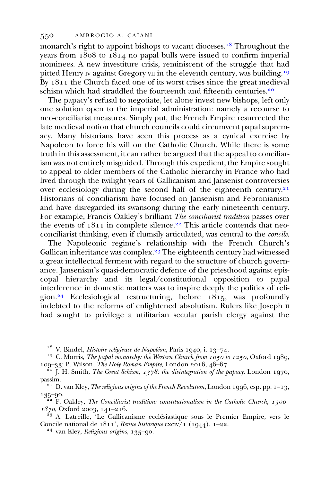monarch's right to appoint bishops to vacant dioceses.<sup>18</sup> Throughout the years from  $1808$  to  $1814$  no papal bulls were issued to confirm imperial nominees. A new investiture crisis, reminiscent of the struggle that had pitted Henry IV against Gregory VII in the eleventh century, was building.<sup>19</sup> By  $1811$  the Church faced one of its worst crises since the great medieval schism which had straddled the fourteenth and fifteenth centuries.<sup>20</sup>

The papacy's refusal to negotiate, let alone invest new bishops, left only one solution open to the imperial administration: namely a recourse to neo-conciliarist measures. Simply put, the French Empire resurrected the late medieval notion that church councils could circumvent papal supremacy. Many historians have seen this process as a cynical exercise by Napoleon to force his will on the Catholic Church. While there is some truth in this assessment, it can rather be argued that the appeal to conciliarism was not entirely misguided. Through this expedient, the Empire sought to appeal to older members of the Catholic hierarchy in France who had lived through the twilight years of Gallicanism and Jansenist controversies over ecclesiology during the second half of the eighteenth century.<sup>21</sup> Historians of conciliarism have focused on Jansenism and Febronianism and have disregarded its swansong during the early nineteenth century. For example, Francis Oakley's brilliant The conciliarist tradition passes over the events of  $1811$  in complete silence.<sup>22</sup> This article contends that neoconciliarist thinking, even if clumsily articulated, was central to the concile.

The Napoleonic regime's relationship with the French Church's Gallican inheritance was complex.<sup>23</sup> The eighteenth century had witnessed a great intellectual ferment with regard to the structure of church governance. Jansenism's quasi-democratic defence of the priesthood against episcopal hierarchy and its legal/constitutional opposition to papal interference in domestic matters was to inspire deeply the politics of religion.<sup>24</sup> Ecclesiological restructuring, before  $1815$ , was profoundly indebted to the reforms of enlightened absolutism. Rulers like Joseph II had sought to privilege a utilitarian secular parish clergy against the

<sup>18</sup> V. Bindel, *Histoire religieuse de Napoléon*, Paris 1940, i. 13–74.<br><sup>19</sup> C. Morris, *The papal monarchy: the Western Church from 1050 to 1250*, Oxford 1989,<br>109–33; P. Wilson, *The Holy Roman Empire*, London 2016, 46

<sup>20</sup> J. H. Smith, *The Great Schism, 1378: the disintegration of the papacy*, London 1970,

passim.<br><sup>21</sup> D. van Kley, *The religious origins of the French Revolution*, London 1996, esp. pp. 1–13,

135–90.<br><sup>22</sup> F. Oakley, *The Conciliarist tradition: constitutionalism in the Catholic Church, 1300–1870*, Oxford 2003, 141–216.

 $^{23}$  A. Latreille, 'Le Gallicanisme ecclésiastique sous le Premier Empire, vers le Concile national de  $1811'$ , Revue historique cxciv/1 (1944), 1–22.<br><sup>24</sup> van Kley, Religious origins, 135–90.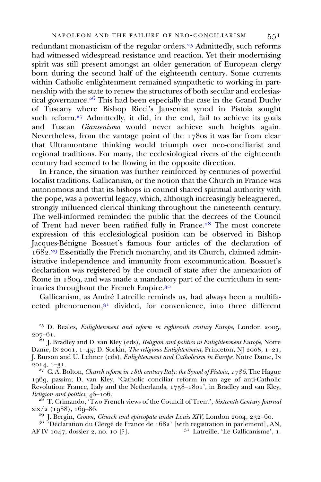redundant monasticism of the regular orders.<sup>25</sup> Admittedly, such reforms had witnessed widespread resistance and reaction. Yet their modernising spirit was still present amongst an older generation of European clergy born during the second half of the eighteenth century. Some currents within Catholic enlightenment remained sympathetic to working in partnership with the state to renew the structures of both secular and ecclesiastical governance. $26$  This had been especially the case in the Grand Duchy of Tuscany where Bishop Ricci's Jansenist synod in Pistoia sought such reform.<sup>27</sup> Admittedly, it did, in the end, fail to achieve its goals and Tuscan Giansenismo would never achieve such heights again. Nevertheless, from the vantage point of the  $178$ os it was far from clear that Ultramontane thinking would triumph over neo-conciliarist and regional traditions. For many, the ecclesiological rivers of the eighteenth century had seemed to be flowing in the opposite direction.

In France, the situation was further reinforced by centuries of powerful localist traditions. Gallicanism, or the notion that the Church in France was autonomous and that its bishops in council shared spiritual authority with the pope, was a powerful legacy, which, although increasingly beleaguered, strongly influenced clerical thinking throughout the nineteenth century. The well-informed reminded the public that the decrees of the Council of Trent had never been ratified fully in France.<sup>28</sup> The most concrete expression of this ecclesiological position can be observed in Bishop Jacques-Bénigne Bossuet's famous four articles of the declaration of 1682.<sup>29</sup> Essentially the French monarchy, and its Church, claimed administrative independence and immunity from excommunication. Bossuet's declaration was registered by the council of state after the annexation of Rome in 1809, and was made a mandatory part of the curriculum in seminaries throughout the French Empire.

Gallicanism, as André Latreille reminds us, had always been a multifaceted phenomenon, $3<sup>1</sup>$  divided, for convenience, into three different

 $25$  D. Beales, *Enlightenment and reform in eighteenth century Europe*, London 2005,  $\frac{207-61}{26}$  J. Bradley and D. van Kley (eds), *Religion and politics in Enlightenment Europe*, Notre

Dame, IN 2001,  $1-45$ ; D. Sorkin, *The religious Enlightenment*, Princeton, NJ 2008,  $1-21$ ; J. Burson and U. Lehner (eds), Enlightenment and Catholicism in Europe, Notre Dame, IN 2014, 1–31.<br><sup>27</sup> C. A. Bolton, *Church reform in 18th century Italy: the Synod of Pistoia, 1786*, The Hague

1969, passim; D. van Kley, 'Catholic conciliar reform in an age of anti-Catholic Revolution: France, Italy and the Netherlands,  $1758-1801$ , in Bradley and van Kley,

Religion and politics,  $46-106$ .<br><sup>28</sup> T. Crimando, 'Two French views of the Council of Trent', *Sixteenth Century Journal*  $xix/2$  (1988), 169–86.

<sup>29</sup> J. Bergin, *Crown, Church and episcopate under Louis XIV*, London 2004, 232–60.<br><sup>30</sup> 'Déclaration du Clergé de France de 1682' [with registration in parlement], AN, AF IV 1047, dossier 2, no. 10 [?].  $3^1$  Latreille, 'Le Gallicanisme', 1.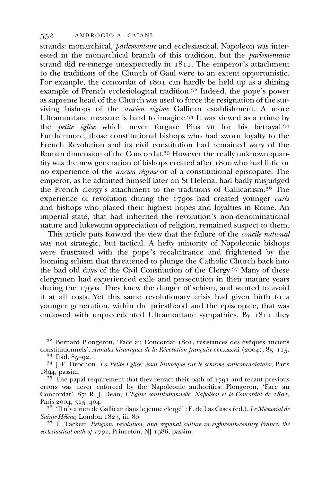strands: monarchical, parlementaire and ecclesiastical. Napoleon was interested in the monarchical branch of this tradition, but the *parlementaire* strand did re-emerge unexpectedly in . The emperor's attachment to the traditions of the Church of Gaul were to an extent opportunistic. For example, the concordat of  $1801$  can hardly be held up as a shining example of French ecclesiological tradition.<sup>32</sup> Indeed, the pope's power as supreme head of the Church was used to force the resignation of the surviving bishops of the ancien régime Gallican establishment. A more Ultramontane measure is hard to imagine.<sup>33</sup> It was viewed as a crime by the *petite église* which never forgave Pius vII for his betrayal.<sup>34</sup> Furthermore, those constitutional bishops who had sworn loyalty to the French Revolution and its civil constitution had remained wary of the Roman dimension of the Concordat.<sup>35</sup> However the really unknown quantity was the new generation of bishops created after  $\frac{1800}{1800}$  who had little or no experience of the ancien régime or of a constitutional episcopate. The emperor, as he admitted himself later on St Helena, had badly misjudged the French clergy's attachment to the traditions of Gallicanism.<sup>36</sup> The experience of revolution during the  $1790s$  had created younger curés and bishops who placed their highest hopes and loyalties in Rome. An imperial state, that had inherited the revolution's non-denominational nature and lukewarm appreciation of religion, remained suspect to them.

This article puts forward the view that the failure of the *concile national* was not strategic, but tactical. A hefty minority of Napoleonic bishops were frustrated with the pope's recalcitrance and frightened by the looming schism that threatened to plunge the Catholic Church back into the bad old days of the Civil Constitution of the Clergy.<sup>37</sup> Many of these clergymen had experienced exile and persecution in their mature years during the  $\frac{1}{7}$  and  $\frac{1}{10}$  and the danger of schism, and wanted to avoid it at all costs. Yet this same revolutionary crisis had given birth to a younger generation, within the priesthood and the episcopate, that was endowed with unprecedented Ultramontane sympathies. By  $1811$  they

<sup>32</sup> Bernard Plongeron, 'Face au Concordat 1801, résistances des évêques anciens constitutionnels', *Annales historiques de la Révolution française* cccxxxvii (2004), 85–115.

<sup>33</sup> Ibid. 85–92.<br><sup>34</sup> J.-E. Drochon, *La Petite Eglise; essai historique sur le schisme anticoncordataire*, Paris 1894, passim.

 $35$  The papal requirement that they retract their oath of  $1791$  and recant previous errors was never enforced by the Napoleonic authorities: Plongeron, 'Face au Concordat', 87; R. J. Dean, L'Eglise constitutionnelle, Napoléon et le Concordat de 1801,

Paris 2004, 315–404.<br><sup>36</sup> 'Il n'y a rien de Gallican dans le jeune clergé' : E. de Las Cases (ed.), *Le Mémorial de Sainte-Hélène*, London 1823, iii. 80.

 $37$  T. Tackett, Religion, revolution, and regional culture in eighteenth-century France: the ecclesiastical oath of  $1791$ , Princeton, NJ 1986, passim.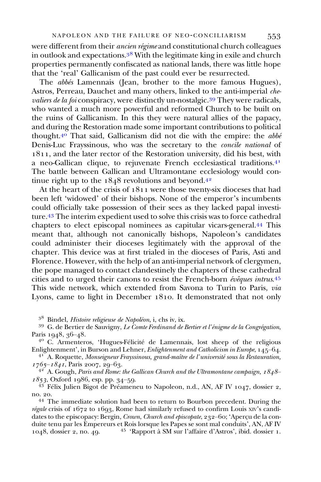#### NAPOLEON AND THE FAILURE OF NEO-CONCILIARISM 553

were different from their ancien régime and constitutional church colleagues in outlook and expectations. $3^8$  With the legitimate king in exile and church properties permanently confiscated as national lands, there was little hope that the 'real' Gallicanism of the past could ever be resurrected.

The *abbés* Lamennais (Jean, brother to the more famous Hugues), Astros, Perreau, Dauchet and many others, linked to the anti-imperial chevaliers de la foi conspiracy, were distinctly un-nostalgic.<sup>39</sup> They were radicals, who wanted a much more powerful and reformed Church to be built on the ruins of Gallicanism. In this they were natural allies of the papacy, and during the Restoration made some important contributions to political thought.<sup>40</sup> That said, Gallicanism did not die with the empire: the *abbé* Denis-Luc Frayssinous, who was the secretary to the concile national of , and the later rector of the Restoration university, did his best, with a neo-Gallican clique, to rejuvenate French ecclesiastical traditions. The battle between Gallican and Ultramontane ecclesiology would continue right up to the  $1848$  revolutions and beyond.<sup>42</sup>

At the heart of the crisis of  $1811$  were those twenty-six dioceses that had been left 'widowed' of their bishops. None of the emperor's incumbents could officially take possession of their sees as they lacked papal investiture.<sup>43</sup> The interim expedient used to solve this crisis was to force cathedral chapters to elect episcopal nominees as capitular vicars-general. This meant that, although not canonically bishops, Napoleon's candidates could administer their dioceses legitimately with the approval of the chapter. This device was at first trialed in the dioceses of Paris, Asti and Florence. However, with the help of an anti-imperial network of clergymen, the pope managed to contact clandestinely the chapters of these cathedral cities and to urged their canons to resist the French-born évêques intrus.45 This wide network, which extended from Savona to Turin to Paris, via Lyons, came to light in December 1810. It demonstrated that not only

<sup>38</sup> Bindel, *Histoire religieuse de Napoléon*, i, chs iv, ix.<br><sup>39</sup> G. de Bertier de Sauvigny, *Le Comte Ferdinand de Bertier et l'énigme de la Congrégation*,<br>Paris 1948, 36–48.

<sup>40</sup> C. Armenteros, 'Hugues-Félicité de Lamennais, lost sheep of the religious Enlightenment', in Burson and Lehner, *Enlightenment and Catholicism in Europe*,  $145-64$ .

<sup>41</sup> A. Roquette, *Monseigneur Frayssinous, grand-maître de l'université sous la Restauration,*  $1765 - 1841$ , Paris 2007, 20-63.

 $\frac{4^2}{1^2}$  A. Gough, Paris and Rome: the Gallican Church and the Ultramontane campaign,  $\frac{1848 - 1853}{1986}$ , esp. pp. 34–59.

<sup>43</sup> Félix Julien Bigot de Préameneu to Napoleon, n.d., AN, AF IV  $1047$ , dossier 2,

no. 20.<br><sup>44</sup> The immediate solution had been to return to Bourbon precedent. During the régale crisis of  $1672$  to  $1693$ , Rome had similarly refused to confirm Louis XIV's candidates to the episcopacy: Bergin, Crown, Church and episcopate, 232–60; 'Aperçu de la conduite tenu par les Empereurs et Rois lorsque les Papes se sont mal conduits', AN, AF IV 1048, dossier 2, no. 49. <sup>45</sup> 'Rapport à SM sur l'affaire d'Astros', ibid. dossier 1.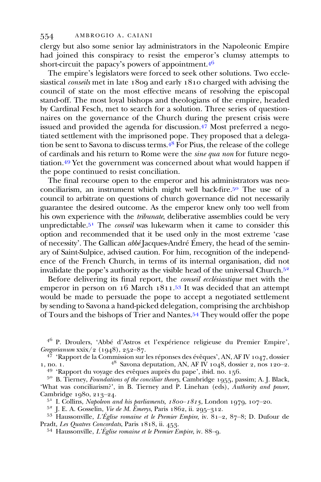clergy but also some senior lay administrators in the Napoleonic Empire had joined this conspiracy to resist the emperor's clumsy attempts to short-circuit the papacy's powers of appointment.<sup>46</sup>

The empire's legislators were forced to seek other solutions. Two ecclesiastical *conseils* met in late  $1809$  and early  $1810$  charged with advising the council of state on the most effective means of resolving the episcopal stand-off. The most loyal bishops and theologians of the empire, headed by Cardinal Fesch, met to search for a solution. Three series of questionnaires on the governance of the Church during the present crisis were issued and provided the agenda for discussion. $\frac{47}{10}$  Most preferred a negotiated settlement with the imprisoned pope. They proposed that a delegation be sent to Savona to discuss terms.  $\frac{1}{4}$ <sup>8</sup> For Pius, the release of the college of cardinals and his return to Rome were the sine qua non for future negotiation.<sup>49</sup> Yet the government was concerned about what would happen if the pope continued to resist conciliation.

The final recourse open to the emperor and his administrators was neoconciliarism, an instrument which might well back-fire.<sup>50</sup> The use of a council to arbitrate on questions of church governance did not necessarily guarantee the desired outcome. As the emperor knew only too well from his own experience with the *tribunate*, deliberative assemblies could be very unpredictable.<sup>51</sup> The *conseil* was lukewarm when it came to consider this option and recommended that it be used only in the most extreme 'case of necessity'. The Gallican abbé Jacques-André Émery, the head of the seminary of Saint-Sulpice, advised caution. For him, recognition of the independence of the French Church, in terms of its internal organisation, did not invalidate the pope's authority as the visible head of the universal Church.

Before delivering its final report, the conseil ecclésiastique met with the emperor in person on 16 March 1811.<sup>53</sup> It was decided that an attempt would be made to persuade the pope to accept a negotiated settlement by sending to Savona a hand-picked delegation, comprising the archbishop of Tours and the bishops of Trier and Nantes. They would offer the pope

<sup>46</sup> P. Droulers, 'Abbé d'Astros et l'expérience religieuse du Premier Empire', Gregorianum xxix/2 (1948), 252–87.

<sup>47</sup> 'Rapport de la Commission sur les réponses des évêques', AN, AF IV 1047, dossier no. 1.<br><sup>48</sup> Savona deputation, AN, AF IV 1048, dossier 2, nos 120–2. 1, no. 1. <sup>48</sup> Savona deputation, AN, AF IV 1048, dossier 2, nos 120–2.<br><sup>49</sup> 'Rapport du voyage des evêques auprès du pape', ibid. no. 156.<br><sup>50</sup> B. Tierney, *Foundations of the conciliar theory*, Cambridge 1955, passim; A

<sup>51</sup> I. Collins, *Napoleon and his parliaments, 1800–1815*, London 1979, 107–20.<br><sup>52</sup> J. E. A. Gosselin, *Vie de M. Émerys*, Paris 1862, ii. 295–312.<br><sup>53</sup> Haussonville, *L'Église romaine et le Premier Empire*, iv. 81–2, 8

 $^{54}$  Haussonville, *L'Église romaine et le Premier Empire*, iv.  $88-9$ .

<sup>&#</sup>x27;What was conciliarism?', in B. Tierney and P. Linehan (eds), Authority and power, Cambridge 1980, 213-24.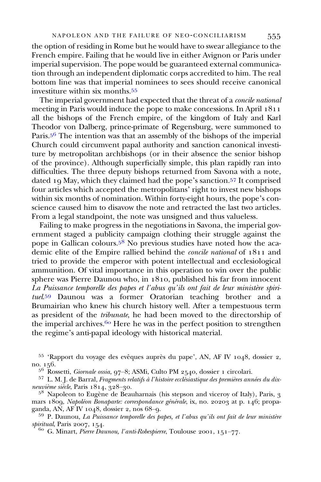the option of residing in Rome but he would have to swear allegiance to the French empire. Failing that he would live in either Avignon or Paris under imperial supervision. The pope would be guaranteed external communication through an independent diplomatic corps accredited to him. The real bottom line was that imperial nominees to sees should receive canonical investiture within six months.

The imperial government had expected that the threat of a concile national meeting in Paris would induce the pope to make concessions. In April all the bishops of the French empire, of the kingdom of Italy and Karl Theodor von Dalberg, prince-primate of Regensburg, were summoned to Paris.<sup>56</sup> The intention was that an assembly of the bishops of the imperial Church could circumvent papal authority and sanction canonical investiture by metropolitan archbishops (or in their absence the senior bishop of the province). Although superficially simple, this plan rapidly ran into difficulties. The three deputy bishops returned from Savona with a note, dated 19 May, which they claimed had the pope's sanction.<sup>57</sup> It comprised four articles which accepted the metropolitans' right to invest new bishops within six months of nomination. Within forty-eight hours, the pope's conscience caused him to disavow the note and retracted the last two articles. From a legal standpoint, the note was unsigned and thus valueless.

Failing to make progress in the negotiations in Savona, the imperial government staged a publicity campaign clothing their struggle against the pope in Gallican colours.<sup>58</sup> No previous studies have noted how the academic elite of the Empire rallied behind the *concile national* of  $1811$  and tried to provide the emperor with potent intellectual and ecclesiological ammunition. Of vital importance in this operation to win over the public sphere was Pierre Daunou who, in  $1810$ , published his far from innocent La Puissance temporelle des papes et l'abus qu'ils ont fait de leur ministère spirituel.<sup>59</sup> Daunou was a former Oratorian teaching brother and a Brumairian who knew his church history well. After a tempestuous term as president of the tribunate, he had been moved to the directorship of the imperial archives.<sup>60</sup> Here he was in the perfect position to strengthen the regime's anti-papal ideology with historical material.

 $55$  'Rapport du voyage des evêques auprès du pape', AN, AF IV 1048, dossier 2, no. 156.<br> $5^6$  Rossetti, *Giornale ossia*, 97–8; ASMi, Culto PM 2540, dossier 1 circolari.

<sup>57</sup> L. M. J. de Barral, *Fragments relatifs à l'histoire ecclésiastique des premières années du dix-*<br>*neuvième siècle*, Paris 1814, 328–30.

 $5^8$  Napoleon to Eugène de Beauharnais (his stepson and viceroy of Italy), Paris,  $3$ mars 1809, *Napoléon Bonaparte: correspondance générale*, ix, no. 20203 at p. 146; propa-<br>ganda, AN, AF IV 1048, dossier 2, nos 68–9.

 $59$  P. Daunou, La Puissance temporelle des papes, et l'abus qu'ils ont fait de leur ministère spiritual, Paris 2007, 154.<br>  $\frac{60}{60}$  G. Minart, *Pierre Daunou, l'anti-Robespierre*, Toulouse 2001, 151–77.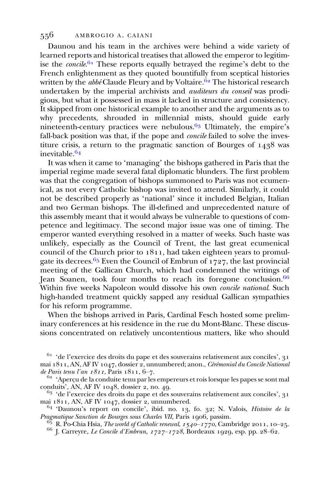Daunou and his team in the archives were behind a wide variety of learned reports and historical treatises that allowed the emperor to legitimise the *concile.*<sup>61</sup> These reports equally betrayed the regime's debt to the French enlightenment as they quoted bountifully from sceptical histories written by the *abbé* Claude Fleury and by Voltaire.  $62$  The historical research undertaken by the imperial archivists and auditeurs du conseil was prodigious, but what it possessed in mass it lacked in structure and consistency. It skipped from one historical example to another and the arguments as to why precedents, shrouded in millennial mists, should guide early nineteenth-century practices were nebulous.<sup> $63$ </sup> Ultimately, the empire's fall-back position was that, if the pope and *concile* failed to solve the investiture crisis, a return to the pragmatic sanction of Bourges of  $1438$  was inevitable. $64$ 

It was when it came to 'managing' the bishops gathered in Paris that the imperial regime made several fatal diplomatic blunders. The first problem was that the congregation of bishops summoned to Paris was not ecumenical, as not every Catholic bishop was invited to attend. Similarly, it could not be described properly as 'national' since it included Belgian, Italian and two German bishops. The ill-defined and unprecedented nature of this assembly meant that it would always be vulnerable to questions of competence and legitimacy. The second major issue was one of timing. The emperor wanted everything resolved in a matter of weeks. Such haste was unlikely, especially as the Council of Trent, the last great ecumenical council of the Church prior to  $1811$ , had taken eighteen years to promulgate its decrees.  $65$  Even the Council of Embrun of 1727, the last provincial meeting of the Gallican Church, which had condemned the writings of Jean Soanen, took four months to reach its foregone conclusion. Within five weeks Napoleon would dissolve his own concile national. Such high-handed treatment quickly sapped any residual Gallican sympathies for his reform programme.

When the bishops arrived in Paris, Cardinal Fesch hosted some preliminary conferences at his residence in the rue du Mont-Blanc. These discussions concentrated on relatively uncontentious matters, like who should

 $61$ 'de l'exercice des droits du pape et des souverains relativement aux conciles', 31 mai  $1811, AN, AF IV 1047, dossier 2, unnumbered; anon., Cérémonial du Concile National de Paris tenu l'an 1811, Paris 1811, 6–7.$ 

<sup>62</sup> 'Aperçu de la conduite tenu par les empereurs et rois lorsque les papes se sont mal conduits', AN, AF IV 1048, dossier 2, no. 49.

 $63$  'de l'exercice des droits du pape et des souverains relativement aux conciles', 31 mai  $1811$ , AN, AF IV  $1047$ , dossier 2, unnumbered.

 $^{64}$  'Daunou's report on concile', ibid. no. 13, fo. 32; N. Valois, *Histoire de la Pragmatique Sanction de Bourges sous Charles VII*, Paris 1906, passim.

<sup>6</sup> R. Po-Chia Hsia, *The world of Catholic renewal*,  $1540 - 1770$ , Cambridge 2011, 10–25.<br><sup>66</sup> J. Carreyre, *Le Concile d'Embrun, 1727*–1728, Bordeaux 1929, esp. pp. 28–62.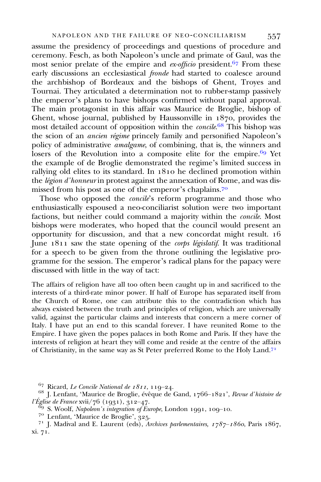assume the presidency of proceedings and questions of procedure and ceremony. Fesch, as both Napoleon's uncle and primate of Gaul, was the most senior prelate of the empire and  $ex\text{-}of\text{ficio}$  president.<sup>67</sup> From these early discussions an ecclesiastical *fronde* had started to coalesce around the archbishop of Bordeaux and the bishops of Ghent, Troyes and Tournai. They articulated a determination not to rubber-stamp passively the emperor's plans to have bishops confirmed without papal approval. The main protagonist in this affair was Maurice de Broglie, bishop of Ghent, whose journal, published by Haussonville in  $1870$ , provides the most detailed account of opposition within the concile.<sup>68</sup> This bishop was the scion of an ancien régime princely family and personified Napoleon's policy of administrative *amalgame*, of combining, that is, the winners and losers of the Revolution into a composite elite for the empire.  $69$  Yet the example of de Broglie demonstrated the regime's limited success in rallying old elites to its standard. In  $1810$  he declined promotion within the *légion d'honneur* in protest against the annexation of Rome, and was dismissed from his post as one of the emperor's chaplains.<sup>70</sup>

Those who opposed the *concile*'s reform programme and those who enthusiastically espoused a neo-conciliarist solution were two important factions, but neither could command a majority within the concile. Most bishops were moderates, who hoped that the council would present an opportunity for discussion, and that a new concordat might result. June  $1811$  saw the state opening of the *corps législatif*. It was traditional for a speech to be given from the throne outlining the legislative programme for the session. The emperor's radical plans for the papacy were discussed with little in the way of tact:

The affairs of religion have all too often been caught up in and sacrificed to the interests of a third-rate minor power. If half of Europe has separated itself from the Church of Rome, one can attribute this to the contradiction which has always existed between the truth and principles of religion, which are universally valid, against the particular claims and interests that concern a mere corner of Italy. I have put an end to this scandal forever. I have reunited Rome to the Empire. I have given the popes palaces in both Rome and Paris. If they have the interests of religion at heart they will come and reside at the centre of the affairs of Christianity, in the same way as St Peter preferred Rome to the Holy Land.

<sup>67</sup> Ricard, *Le Concile National de 1811*, 119–24.<br><sup>68</sup> J. Lenfant, 'Maurice de Broglie, évêque de Gand, 1766–1821', *Revue d'histoire de* l'Église de France xvii/76 (1931),  $312-47$ .<br>
<sup>69</sup> S. Woolf, *Napoleon's integration of Europe*, London 1991, 109–10.<br>
<sup>70</sup> Lenfant, 'Maurice de Broglie', 325.<br>
<sup>71</sup> J. Madival and E. Laurent (eds), *Archives parlementair* 

xi. 71.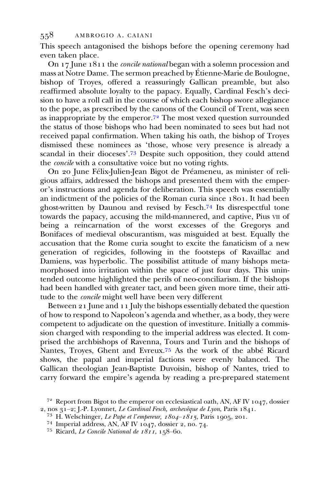This speech antagonised the bishops before the opening ceremony had even taken place.

On  $17$  June  $1811$  the *concile national* began with a solemn procession and mass at Notre Dame. The sermon preached by Étienne-Marie de Boulogne, bishop of Troyes, offered a reassuringly Gallican preamble, but also reaffirmed absolute loyalty to the papacy. Equally, Cardinal Fesch's decision to have a roll call in the course of which each bishop swore allegiance to the pope, as prescribed by the canons of the Council of Trent, was seen as inappropriate by the emperor.<sup> $72$ </sup> The most vexed question surrounded the status of those bishops who had been nominated to sees but had not received papal confirmation. When taking his oath, the bishop of Troyes dismissed these nominees as 'those, whose very presence is already a scandal in their dioceses'.73 Despite such opposition, they could attend the concile with a consultative voice but no voting rights.

On 20 June Félix-Julien-Jean Bigot de Préameneu, as minister of religious affairs, addressed the bishops and presented them with the emperor's instructions and agenda for deliberation. This speech was essentially an indictment of the policies of the Roman curia since 1801. It had been ghost-written by Daunou and revised by Fesch.<sup>74</sup> Its disrespectful tone towards the papacy, accusing the mild-mannered, and captive, Pius VII of being a reincarnation of the worst excesses of the Gregorys and Bonifaces of medieval obscurantism, was misguided at best. Equally the accusation that the Rome curia sought to excite the fanaticism of a new generation of regicides, following in the footsteps of Ravaillac and Damiens, was hyperbolic. The possibilist attitude of many bishops metamorphosed into irritation within the space of just four days. This unintended outcome highlighted the perils of neo-conciliarism. If the bishops had been handled with greater tact, and been given more time, their attitude to the concile might well have been very different

Between  $21$  June and  $11$  July the bishops essentially debated the question of how to respond to Napoleon's agenda and whether, as a body, they were competent to adjudicate on the question of investiture. Initially a commission charged with responding to the imperial address was elected. It comprised the archbishops of Ravenna, Tours and Turin and the bishops of Nantes, Troyes, Ghent and Evreux.<sup>75</sup> As the work of the abbé Ricard shows, the papal and imperial factions were evenly balanced. The Gallican theologian Jean-Baptiste Duvoisin, bishop of Nantes, tried to carry forward the empire's agenda by reading a pre-prepared statement

<sup>&</sup>lt;sup>72</sup> Report from Bigot to the emperor on ecclesiastical oath, AN, AF IV 1047, dossier 2, nos 31–2; J.-P. Lyonnet, *Le Cardinal Fesch, archevêque de Lyon*, Paris 1841.

<sup>&</sup>lt;sup>73</sup> H. Welschinger, *Le Pape et l'empereur, 1804–1815*, Paris 1905, 201.<br><sup>74</sup> Imperial address, AN, AF IV 1047, dossier 2, no. 74.<br><sup>75</sup> Ricard, *Le Concile National de 1811*, 158–60.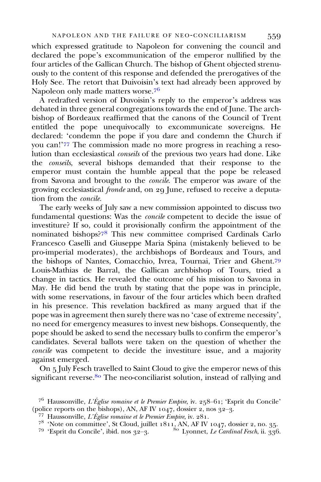which expressed gratitude to Napoleon for convening the council and declared the pope's excommunication of the emperor nullified by the four articles of the Gallican Church. The bishop of Ghent objected strenuously to the content of this response and defended the prerogatives of the Holy See. The retort that Duivoisin's text had already been approved by Napoleon only made matters worse.

A redrafted version of Duvoisin's reply to the emperor's address was debated in three general congregations towards the end of June. The archbishop of Bordeaux reaffirmed that the canons of the Council of Trent entitled the pope unequivocally to excommunicate sovereigns. He declared: 'condemn the pope if you dare and condemn the Church if you can!'77 The commission made no more progress in reaching a resolution than ecclesiastical conseils of the previous two years had done. Like the conseils, several bishops demanded that their response to the emperor must contain the humble appeal that the pope be released from Savona and brought to the concile. The emperor was aware of the growing ecclesiastical *fronde* and, on 29 June, refused to receive a deputation from the concile.

The early weeks of July saw a new commission appointed to discuss two fundamental questions: Was the concile competent to decide the issue of investiture? If so, could it provisionally confirm the appointment of the nominated bishops?<sup>78</sup> This new committee comprised Cardinals Carlo Francesco Caselli and Giuseppe Maria Spina (mistakenly believed to be pro-imperial moderates), the archbishops of Bordeaux and Tours, and the bishops of Nantes, Comacchio, Ivrea, Tournai, Trier and Ghent. Louis-Mathias de Barral, the Gallican archbishop of Tours, tried a change in tactics. He revealed the outcome of his mission to Savona in May. He did bend the truth by stating that the pope was in principle, with some reservations, in favour of the four articles which been drafted in his presence. This revelation backfired as many argued that if the pope was in agreement then surely there was no 'case of extreme necessity', no need for emergency measures to invest new bishops. Consequently, the pope should be asked to send the necessary bulls to confirm the emperor's candidates. Several ballots were taken on the question of whether the concile was competent to decide the investiture issue, and a majority against emerged.

On 5 July Fesch travelled to Saint Cloud to give the emperor news of this significant reverse.<sup>80</sup> The neo-conciliarist solution, instead of rallying and

<sup>&</sup>lt;sup>76</sup> Haussonville, *L'Église romaine et le Premier Empire*, iv. 258–61; 'Esprit du Concile' (police reports on the bishops), AN, AF IV 1047, dossier 2, nos 32–3.

<sup>&</sup>lt;sup>77</sup> Haussonville, *L'Église romaine et le Premier Empire*, iv. 281.<br><sup>78</sup> 'Note on committee', St Cloud, juillet 1811, AN, AF IV 1047, dossier 2, no. 35.<br><sup>79</sup> 'Esprit du Concile', ibid. nos 32–3.<br><sup>80</sup> Lyonnet, *Le Cardina*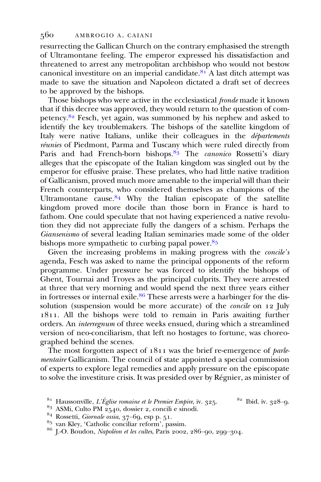resurrecting the Gallican Church on the contrary emphasised the strength of Ultramontane feeling. The emperor expressed his dissatisfaction and threatened to arrest any metropolitan archbishop who would not bestow canonical investiture on an imperial candidate.<sup>81</sup> A last ditch attempt was made to save the situation and Napoleon dictated a draft set of decrees to be approved by the bishops.

Those bishops who were active in the ecclesiastical fronde made it known that if this decree was approved, they would return to the question of competency. $82$  Fesch, yet again, was summoned by his nephew and asked to identify the key troublemakers. The bishops of the satellite kingdom of Italy were native Italians, unlike their colleagues in the *départements* réunies of Piedmont, Parma and Tuscany which were ruled directly from Paris and had French-born bishops.<sup>83</sup> The *canonico* Rossetti's diary alleges that the episcopate of the Italian kingdom was singled out by the emperor for effusive praise. These prelates, who had little native tradition of Gallicanism, proved much more amenable to the imperial will than their French counterparts, who considered themselves as champions of the Ultramontane cause.  $84$  Why the Italian episcopate of the satellite kingdom proved more docile than those born in France is hard to fathom. One could speculate that not having experienced a native revolution they did not appreciate fully the dangers of a schism. Perhaps the Giansenismo of several leading Italian seminaries made some of the older bishops more sympathetic to curbing papal power.  $85$ 

Given the increasing problems in making progress with the *concile's* agenda, Fesch was asked to name the principal opponents of the reform programme. Under pressure he was forced to identify the bishops of Ghent, Tournai and Troyes as the principal culprits. They were arrested at three that very morning and would spend the next three years either in fortresses or internal exile.<sup>86</sup> These arrests were a harbinger for the dissolution (suspension would be more accurate) of the *concile* on  $12$  July . All the bishops were told to remain in Paris awaiting further orders. An interregnum of three weeks ensued, during which a streamlined version of neo-conciliarism, that left no hostages to fortune, was choreographed behind the scenes.

The most forgotten aspect of  $1811$  was the brief re-emergence of *parle*mentaire Gallicanism. The council of state appointed a special commission of experts to explore legal remedies and apply pressure on the episcopate to solve the investiture crisis. It was presided over by Régnier, as minister of

<sup>&</sup>lt;sup>81</sup> Haussonville, *L'Église romaine et le Premier Empire*, iv. 325. <sup>82</sup> Ibid. iv. 328–9.<br><sup>83</sup> ASMi, Culto PM 2540, dossier 2, concili e sinodi.<br><sup>84</sup> Rossetti, *Giornale ossia*, 37–69, esp p. 51.

 $^{85}$  van Kley, 'Catholic conciliar reform', passim.<br>  $^{86}$  I.-O. Boudon, Napoléon et les cultes, Paris 2002, 286-90, 299-304.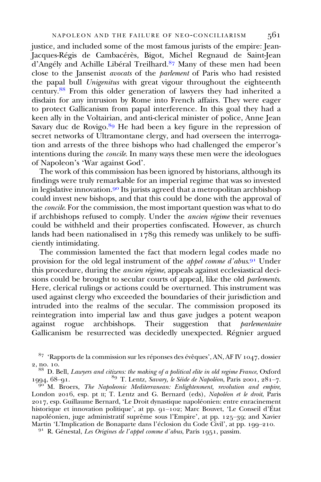justice, and included some of the most famous jurists of the empire: Jean-Jacques-Régis de Cambacérès, Bigot, Michel Regnaud de Saint-Jean d'Angély and Achille Libéral Treilhard.<sup>87</sup> Many of these men had been close to the Jansenist avocats of the parlement of Paris who had resisted the papal bull *Unigenitus* with great vigour throughout the eighteenth century.<sup>88</sup> From this older generation of lawyers they had inherited a disdain for any intrusion by Rome into French affairs. They were eager to protect Gallicanism from papal interference. In this goal they had a keen ally in the Voltairian, and anti-clerical minister of police, Anne Jean Savary duc de Rovigo.  $89$  He had been a key figure in the repression of secret networks of Ultramontane clergy, and had overseen the interrogation and arrests of the three bishops who had challenged the emperor's intentions during the concile. In many ways these men were the ideologues of Napoleon's 'War against God'.

The work of this commission has been ignored by historians, although its findings were truly remarkable for an imperial regime that was so invested in legislative innovation.<sup>90</sup> Its jurists agreed that a metropolitan archbishop could invest new bishops, and that this could be done with the approval of the concile. For the commission, the most important question was what to do if archbishops refused to comply. Under the ancien régime their revenues could be withheld and their properties confiscated. However, as church lands had been nationalised in  $178q$  this remedy was unlikely to be sufficiently intimidating.

The commission lamented the fact that modern legal codes made no provision for the old legal instrument of the appel comme d'abus.<sup>91</sup> Under this procedure, during the *ancien régime*, appeals against ecclesiastical decisions could be brought to secular courts of appeal, like the old *parlements*. Here, clerical rulings or actions could be overturned. This instrument was used against clergy who exceeded the boundaries of their jurisdiction and intruded into the realms of the secular. The commission proposed its reintegration into imperial law and thus gave judges a potent weapon against rogue archbishops. Their suggestion that *parlementaire* Gallicanism be resurrected was decidedly unexpected. Régnier argued

 $\overline{a}^{\overline{00}}$  M. Broers, The Napoleonic Mediterranean: Enlightenment, revolution and empire, London 2016, esp. pt II; T. Lentz and G. Bernard (eds), Napoléon et le droit, Paris , esp. Guillaume Bernard, 'Le Droit dynastique napoléonien: entre enracinement historique et innovation politique', at pp.  $q_1$ –102; Marc Bouvet, 'Le Conseil d'État napoléonien, juge administratif suprême sous l'Empire', at pp.  $125-39$ ; and Xavier Martin 'L'Implication de Bonaparte dans l'éclosion du Code Civil', at pp. 199–210.<br><sup>91</sup> R. Génestal, *Les Origines de l'appel comme d'abus*, Paris 1951, passim.

 $87$  'Rapports de la commission sur les réponses des évêques', AN, AF IV 1047, dossier

<sup>2,</sup> no. 10.<br>  $\frac{88}{1994}$  D. Bell, *Lawyers and citizens: the making of a political elite in old regime France*, Oxford 1994, 68–91.<br>
<sup>89</sup> T. Lentz, *Savary, le Séide de Napoléon*, Paris 2001, 281–7.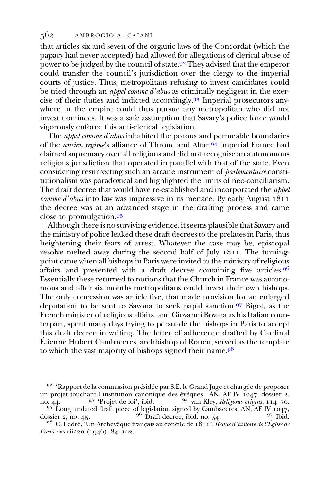that articles six and seven of the organic laws of the Concordat (which the papacy had never accepted) had allowed for allegations of clerical abuse of power to be judged by the council of state.  $9<sup>2</sup>$  They advised that the emperor could transfer the council's jurisdiction over the clergy to the imperial courts of justice. Thus, metropolitans refusing to invest candidates could be tried through an *appel comme d'abus* as criminally negligent in the exercise of their duties and indicted accordingly.<sup>93</sup> Imperial prosecutors anywhere in the empire could thus pursue any metropolitan who did not invest nominees. It was a safe assumption that Savary's police force would vigorously enforce this anti-clerical legislation.

The *appel comme d'abus* inhabited the porous and permeable boundaries of the *ancien regime's* alliance of Throne and Altar.<sup>94</sup> Imperial France had claimed supremacy over all religions and did not recognise an autonomous religious jurisdiction that operated in parallel with that of the state. Even considering resurrecting such an arcane instrument of parlementaire constitutionalism was paradoxical and highlighted the limits of neo-conciliarism. The draft decree that would have re-established and incorporated the *appel comme d'abus* into law was impressive in its menace. By early August  $1811$ the decree was at an advanced stage in the drafting process and came close to promulgation.

Although there is no surviving evidence, it seems plausible that Savary and the ministry of police leaked these draft decrees to the prelates in Paris, thus heightening their fears of arrest. Whatever the case may be, episcopal resolve melted away during the second half of July 1811. The turningpoint came when all bishops in Paris were invited to the ministry of religious affairs and presented with a draft decree containing five articles.<sup>96</sup> Essentially these returned to notions that the Church in France was autonomous and after six months metropolitans could invest their own bishops. The only concession was article five, that made provision for an enlarged deputation to be sent to Savona to seek papal sanction.<sup>97</sup> Bigot, as the French minister of religious affairs, and Giovanni Bovara as his Italian counterpart, spent many days trying to persuade the bishops in Paris to accept this draft decree in writing. The letter of adherence drafted by Cardinal Étienne Hubert Cambaceres, archbishop of Rouen, served as the template to which the vast majority of bishops signed their name.<sup>98</sup>

no. 44. <sup>93</sup> 'Projet de loi', ibid. <sup>94</sup> van Kley, *Religious origins*, 114–70.<br><sup>95</sup> Long undated draft piece of legislation signed by Cambaceres, AN, AF IV 1047, dossier 2, no. 45. <sup>96</sup> Draft decree, ibid. no. 54. <sup>97</sup> I  $9^6$  Draft decree, ibid. no. 54.

 $9<sup>92</sup>$  'Rapport de la commission présidée par S.E. le Grand Juge et chargée de proposer un projet touchant l'institution canonique des évêques', AN, AF IV  $1047$ , dossier 2, no. 44. <sup>93</sup> 'Projet de loi', ibid. <sup>94</sup> van Kley, *Religious origins*,  $114-70$ .

 $9^8$  C. Ledré, 'Un Archevêque français au concile de 1811', Revue d'histoire de l'Église de France xxxii/20  $(1946)$ , 84-102.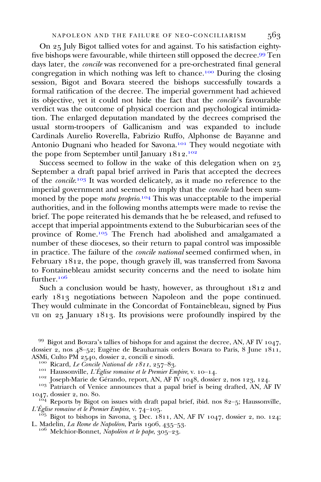On 25 July Bigot tallied votes for and against. To his satisfaction eightyfive bishops were favourable, while thirteen still opposed the decree.<sup>99</sup> Ten days later, the concile was reconvened for a pre-orchestrated final general congregation in which nothing was left to chance.<sup>100</sup> During the closing session, Bigot and Bovara steered the bishops successfully towards a formal ratification of the decree. The imperial government had achieved its objective, yet it could not hide the fact that the *concile's* favourable verdict was the outcome of physical coercion and psychological intimidation. The enlarged deputation mandated by the decrees comprised the usual storm-troopers of Gallicanism and was expanded to include Cardinals Aurelio Roverella, Fabrizio Ruffo, Alphonse de Bayanne and Antonio Dugnani who headed for Savona.<sup>101</sup> They would negotiate with the pope from September until January 1812.<sup>102</sup>

Success seemed to follow in the wake of this delegation when on 25 September a draft papal brief arrived in Paris that accepted the decrees of the concile.<sup>103</sup> It was worded delicately, as it made no reference to the imperial government and seemed to imply that the concile had been summoned by the pope *motu proprio*.<sup>104</sup> This was unacceptable to the imperial authorities, and in the following months attempts were made to revise the brief. The pope reiterated his demands that he be released, and refused to accept that imperial appointments extend to the Suburbicarian sees of the province of Rome.<sup>105</sup> The French had abolished and amalgamated a number of these dioceses, so their return to papal control was impossible in practice. The failure of the concile national seemed confirmed when, in February 1812, the pope, though gravely ill, was transferred from Savona to Fontainebleau amidst security concerns and the need to isolate him further<sup>106</sup>

Such a conclusion would be hasty, however, as throughout  $1812$  and early 1813 negotiations between Napoleon and the pope continued. They would culminate in the Concordat of Fontainebleau, signed by Pius VII on  $25$  January 1813. Its provisions were profoundly inspired by the

<sup>165</sup> Bigot to bishops in Savona, 3 Dec. 1811, AN, AF IV 1047, dossier 2, no. 124; L. Madelin, *La Rome de Napoléon*, Paris 1906, 435–53.

 $10^6$  Melchior-Bonnet, Napoléon et le pape, 305-23.

 $99$  Bigot and Bovara's tallies of bishops for and against the decree, AN, AF IV 1047, dossier 2, nos 48-52; Eugène de Beauharnais orders Bovara to Paris, 8 June 1811, ASMi, Culto PM 2540, dossier 2, concili e sinodi.

<sup>&</sup>lt;sup>100</sup> Ricard, *Le Concile National de 1811*, 257–83.<br><sup>101</sup> Haussonville, *L'Église romaine et le Premier Empire*, v. 10–14.<br><sup>102</sup> Joseph-Marie de Gérando, report, AN, AF IV 1048, dossier 2, nos 123, 124.<br><sup>103</sup> Patriarch o

 $\frac{164}{164}$  Reports by Bigot on issues with draft papal brief, ibid. nos 82–5; Haussonville, L'Église romaine et le Premier Empire, v. 74–105.